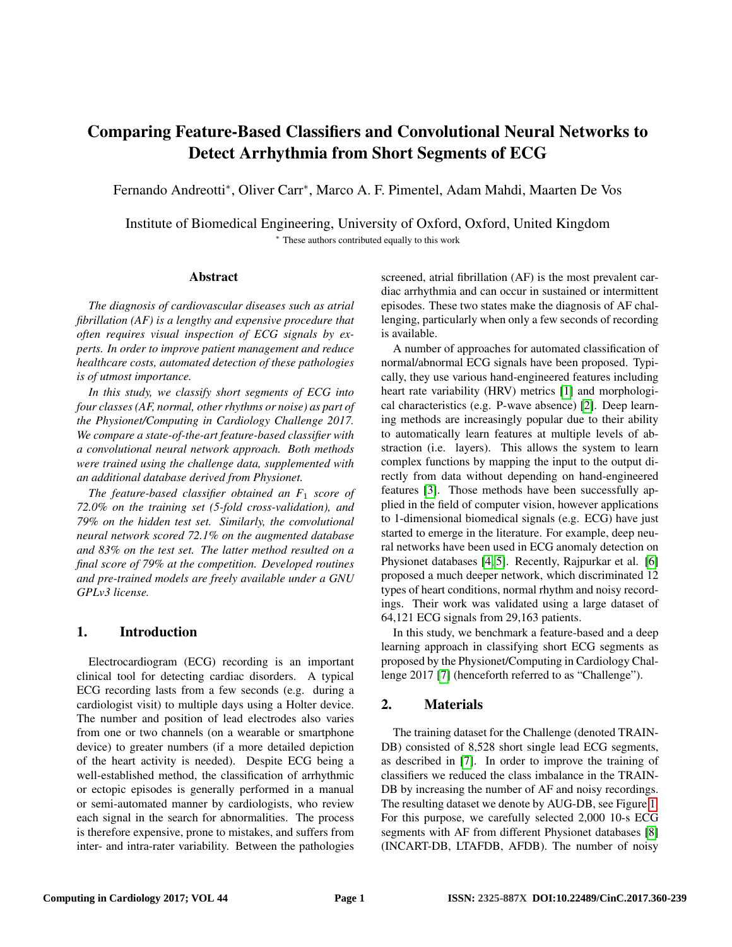# Comparing Feature-Based Classifiers and Convolutional Neural Networks to Detect Arrhythmia from Short Segments of ECG

Fernando Andreotti<sup>∗</sup> , Oliver Carr<sup>∗</sup> , Marco A. F. Pimentel, Adam Mahdi, Maarten De Vos

Institute of Biomedical Engineering, University of Oxford, Oxford, United Kingdom <sup>∗</sup> These authors contributed equally to this work

#### Abstract

*The diagnosis of cardiovascular diseases such as atrial fibrillation (AF) is a lengthy and expensive procedure that often requires visual inspection of ECG signals by experts. In order to improve patient management and reduce healthcare costs, automated detection of these pathologies is of utmost importance.*

*In this study, we classify short segments of ECG into four classes (AF, normal, other rhythms or noise) as part of the Physionet/Computing in Cardiology Challenge 2017. We compare a state-of-the-art feature-based classifier with a convolutional neural network approach. Both methods were trained using the challenge data, supplemented with an additional database derived from Physionet.*

*The feature-based classifier obtained an F*<sup>1</sup> *score of 72.0% on the training set (5-fold cross-validation), and 79% on the hidden test set. Similarly, the convolutional neural network scored 72.1% on the augmented database and 83% on the test set. The latter method resulted on a final score of 79% at the competition. Developed routines and pre-trained models are freely available under a GNU GPLv3 license.*

## 1. Introduction

Electrocardiogram (ECG) recording is an important clinical tool for detecting cardiac disorders. A typical ECG recording lasts from a few seconds (e.g. during a cardiologist visit) to multiple days using a Holter device. The number and position of lead electrodes also varies from one or two channels (on a wearable or smartphone device) to greater numbers (if a more detailed depiction of the heart activity is needed). Despite ECG being a well-established method, the classification of arrhythmic or ectopic episodes is generally performed in a manual or semi-automated manner by cardiologists, who review each signal in the search for abnormalities. The process is therefore expensive, prone to mistakes, and suffers from inter- and intra-rater variability. Between the pathologies screened, atrial fibrillation (AF) is the most prevalent cardiac arrhythmia and can occur in sustained or intermittent episodes. These two states make the diagnosis of AF challenging, particularly when only a few seconds of recording is available.

A number of approaches for automated classification of normal/abnormal ECG signals have been proposed. Typically, they use various hand-engineered features including heart rate variability (HRV) metrics [1] and morphological characteristics (e.g. P-wave absence) [2]. Deep learning methods are increasingly popular due to their ability to automatically learn features at multiple levels of abstraction (i.e. layers). This allows the system to learn complex functions by mapping the input to the output directly from data without depending on hand-engineered features [3]. Those methods have been successfully applied in the field of computer vision, however applications to 1-dimensional biomedical signals (e.g. ECG) have just started to emerge in the literature. For example, deep neural networks have been used in ECG anomaly detection on Physionet databases [4, 5]. Recently, Rajpurkar et al. [6] proposed a much deeper network, which discriminated 12 types of heart conditions, normal rhythm and noisy recordings. Their work was validated using a large dataset of 64,121 ECG signals from 29,163 patients.

In this study, we benchmark a feature-based and a deep learning approach in classifying short ECG segments as proposed by the Physionet/Computing in Cardiology Challenge 2017 [7] (henceforth referred to as "Challenge").

## 2. Materials

The training dataset for the Challenge (denoted TRAIN-DB) consisted of 8,528 short single lead ECG segments, as described in [7]. In order to improve the training of classifiers we reduced the class imbalance in the TRAIN-DB by increasing the number of AF and noisy recordings. The resulting dataset we denote by AUG-DB, see Figure 1. For this purpose, we carefully selected 2,000 10-s ECG segments with AF from different Physionet databases [8] (INCART-DB, LTAFDB, AFDB). The number of noisy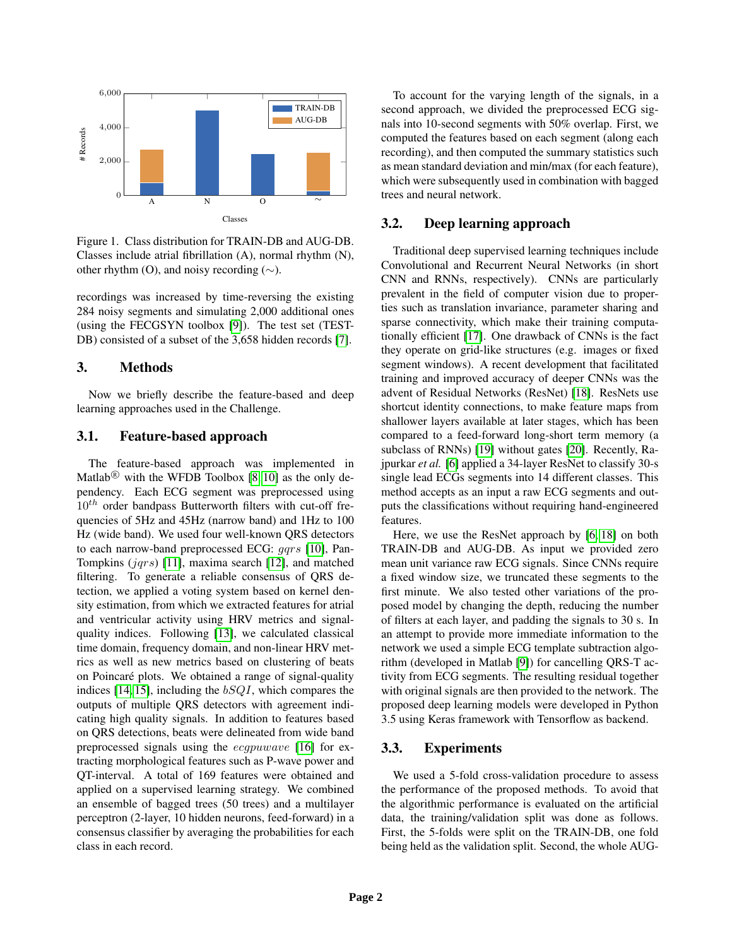

Figure 1. Class distribution for TRAIN-DB and AUG-DB. Classes include atrial fibrillation (A), normal rhythm (N), other rhythm (O), and noisy recording (∼).

recordings was increased by time-reversing the existing 284 noisy segments and simulating 2,000 additional ones (using the FECGSYN toolbox [9]). The test set (TEST-DB) consisted of a subset of the 3,658 hidden records [7].

# 3. Methods

Now we briefly describe the feature-based and deep learning approaches used in the Challenge.

## 3.1. Feature-based approach

The feature-based approach was implemented in Matlab<sup>(8)</sup> with the WFDB Toolbox [8, 10] as the only dependency. Each ECG segment was preprocessed using  $10<sup>th</sup>$  order bandpass Butterworth filters with cut-off frequencies of 5Hz and 45Hz (narrow band) and 1Hz to 100 Hz (wide band). We used four well-known QRS detectors to each narrow-band preprocessed ECG: gqrs [10], Pan-Tompkins  $(jqrs)$  [11], maxima search [12], and matched filtering. To generate a reliable consensus of QRS detection, we applied a voting system based on kernel density estimation, from which we extracted features for atrial and ventricular activity using HRV metrics and signalquality indices. Following [13], we calculated classical time domain, frequency domain, and non-linear HRV metrics as well as new metrics based on clustering of beats on Poincaré plots. We obtained a range of signal-quality indices [14, 15], including the  $bSQI$ , which compares the outputs of multiple QRS detectors with agreement indicating high quality signals. In addition to features based on QRS detections, beats were delineated from wide band preprocessed signals using the ecgpuwave [16] for extracting morphological features such as P-wave power and QT-interval. A total of 169 features were obtained and applied on a supervised learning strategy. We combined an ensemble of bagged trees (50 trees) and a multilayer perceptron (2-layer, 10 hidden neurons, feed-forward) in a consensus classifier by averaging the probabilities for each class in each record.

To account for the varying length of the signals, in a second approach, we divided the preprocessed ECG signals into 10-second segments with 50% overlap. First, we computed the features based on each segment (along each recording), and then computed the summary statistics such as mean standard deviation and min/max (for each feature), which were subsequently used in combination with bagged trees and neural network.

## 3.2. Deep learning approach

Traditional deep supervised learning techniques include Convolutional and Recurrent Neural Networks (in short CNN and RNNs, respectively). CNNs are particularly prevalent in the field of computer vision due to properties such as translation invariance, parameter sharing and sparse connectivity, which make their training computationally efficient [17]. One drawback of CNNs is the fact they operate on grid-like structures (e.g. images or fixed segment windows). A recent development that facilitated training and improved accuracy of deeper CNNs was the advent of Residual Networks (ResNet) [18]. ResNets use shortcut identity connections, to make feature maps from shallower layers available at later stages, which has been compared to a feed-forward long-short term memory (a subclass of RNNs) [19] without gates [20]. Recently, Rajpurkar *et al.* [6] applied a 34-layer ResNet to classify 30-s single lead ECGs segments into 14 different classes. This method accepts as an input a raw ECG segments and outputs the classifications without requiring hand-engineered features.

Here, we use the ResNet approach by [6, 18] on both TRAIN-DB and AUG-DB. As input we provided zero mean unit variance raw ECG signals. Since CNNs require a fixed window size, we truncated these segments to the first minute. We also tested other variations of the proposed model by changing the depth, reducing the number of filters at each layer, and padding the signals to 30 s. In an attempt to provide more immediate information to the network we used a simple ECG template subtraction algorithm (developed in Matlab [9]) for cancelling QRS-T activity from ECG segments. The resulting residual together with original signals are then provided to the network. The proposed deep learning models were developed in Python 3.5 using Keras framework with Tensorflow as backend.

## 3.3. Experiments

We used a 5-fold cross-validation procedure to assess the performance of the proposed methods. To avoid that the algorithmic performance is evaluated on the artificial data, the training/validation split was done as follows. First, the 5-folds were split on the TRAIN-DB, one fold being held as the validation split. Second, the whole AUG-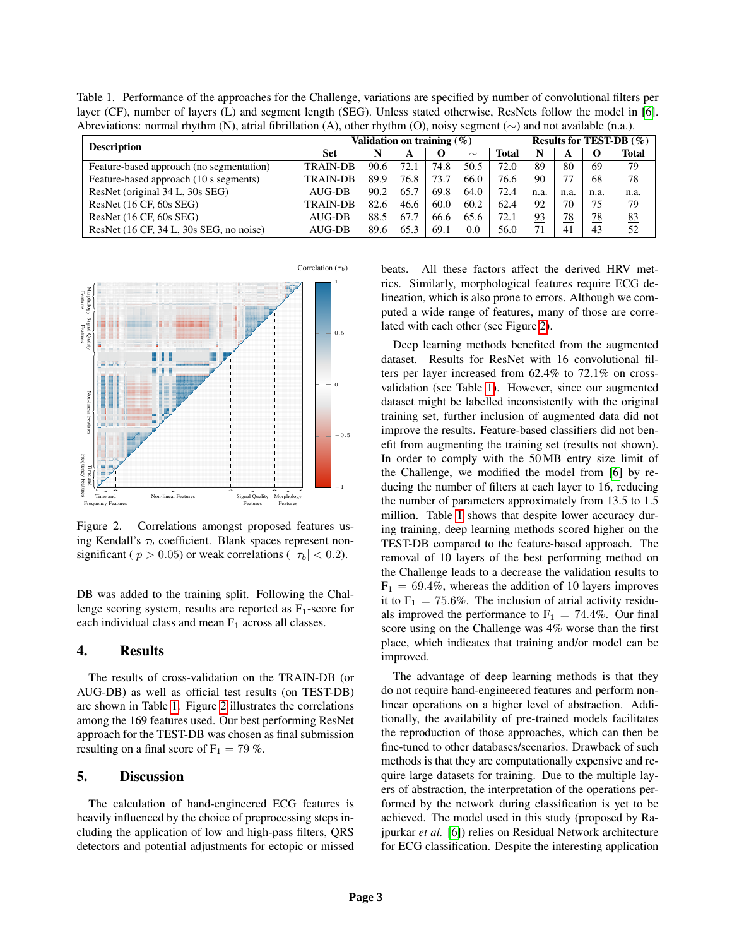Table 1. Performance of the approaches for the Challenge, variations are specified by number of convolutional filters per layer (CF), number of layers (L) and segment length (SEG). Unless stated otherwise, ResNets follow the model in [6]. Abreviations: normal rhythm (N), atrial fibrillation (A), other rhythm (O), noisy segment (∼) and not available (n.a.).

| <b>Description</b>                        | Validation on training $(\%)$ |      |      |          |        |              | Results for TEST-DB $(\% )$ |      |      |              |
|-------------------------------------------|-------------------------------|------|------|----------|--------|--------------|-----------------------------|------|------|--------------|
|                                           | Set                           | N    | A    | $\Omega$ | $\sim$ | <b>Total</b> | N                           | A    |      | <b>Total</b> |
| Feature-based approach (no segmentation)  | <b>TRAIN-DB</b>               | 90.6 | 72.1 | 74.8     | 50.5   | 72.0         | 89                          | 80   | 69   | 79           |
| Feature-based approach (10 s segments)    | <b>TRAIN-DB</b>               | 89.9 | 76.8 | 73.7     | 66.0   | 76.6         | 90                          |      | 68   | 78           |
| ResNet (original 34 L, 30s SEG)           | AUG-DB                        | 90.2 | 65.7 | 69.8     | 64.0   | 72.4         | n.a.                        | n.a. | n.a. | n.a.         |
| ResNet $(16 \text{ CF}, 60s \text{ SEG})$ | <b>TRAIN-DB</b>               | 82.6 | 46.6 | 60.0     | 60.2   | 62.4         | 92                          | 70   | 75   | 79           |
| ResNet $(16 \text{ CF}, 60s \text{ SEG})$ | $AIJG-DB$                     | 88.5 | 67.7 | 66.6     | 65.6   | 72.1         | <u>93</u>                   | 78   | 78   | 83           |
| ResNet (16 CF, 34 L, 30s SEG, no noise)   | AUG-DB                        | 89.6 | 65.3 | 69.1     | 0.0    | 56.0         |                             | 41   | 43   | 52           |



Figure 2. Correlations amongst proposed features using Kendall's  $\tau_b$  coefficient. Blank spaces represent nonsignificant (  $p > 0.05$ ) or weak correlations (  $|\tau_b| < 0.2$ ).

DB was added to the training split. Following the Challenge scoring system, results are reported as  $F_1$ -score for each individual class and mean  $F_1$  across all classes.

### 4. Results

The results of cross-validation on the TRAIN-DB (or AUG-DB) as well as official test results (on TEST-DB) are shown in Table 1. Figure 2 illustrates the correlations among the 169 features used. Our best performing ResNet approach for the TEST-DB was chosen as final submission resulting on a final score of  $F_1 = 79\%$ .

#### 5. Discussion

The calculation of hand-engineered ECG features is heavily influenced by the choice of preprocessing steps including the application of low and high-pass filters, QRS detectors and potential adjustments for ectopic or missed

beats. All these factors affect the derived HRV metrics. Similarly, morphological features require ECG delineation, which is also prone to errors. Although we computed a wide range of features, many of those are correlated with each other (see Figure 2).

Deep learning methods benefited from the augmented dataset. Results for ResNet with 16 convolutional filters per layer increased from 62.4% to 72.1% on crossvalidation (see Table 1). However, since our augmented dataset might be labelled inconsistently with the original training set, further inclusion of augmented data did not improve the results. Feature-based classifiers did not benefit from augmenting the training set (results not shown). In order to comply with the 50 MB entry size limit of the Challenge, we modified the model from [6] by reducing the number of filters at each layer to 16, reducing the number of parameters approximately from 13.5 to 1.5 million. Table 1 shows that despite lower accuracy during training, deep learning methods scored higher on the TEST-DB compared to the feature-based approach. The removal of 10 layers of the best performing method on the Challenge leads to a decrease the validation results to  $F_1 = 69.4\%$ , whereas the addition of 10 layers improves it to  $F_1 = 75.6\%$ . The inclusion of atrial activity residuals improved the performance to  $F_1 = 74.4\%$ . Our final score using on the Challenge was 4% worse than the first place, which indicates that training and/or model can be improved.

The advantage of deep learning methods is that they do not require hand-engineered features and perform nonlinear operations on a higher level of abstraction. Additionally, the availability of pre-trained models facilitates the reproduction of those approaches, which can then be fine-tuned to other databases/scenarios. Drawback of such methods is that they are computationally expensive and require large datasets for training. Due to the multiple layers of abstraction, the interpretation of the operations performed by the network during classification is yet to be achieved. The model used in this study (proposed by Rajpurkar *et al.* [6]) relies on Residual Network architecture for ECG classification. Despite the interesting application